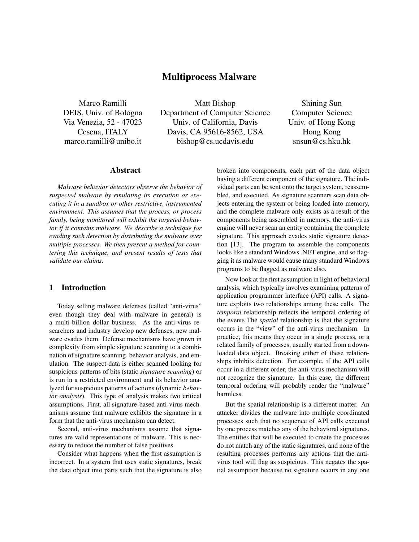# Multiprocess Malware

Marco Ramilli DEIS, Univ. of Bologna Via Venezia, 52 - 47023 Cesena, ITALY marco.ramilli@unibo.it

Matt Bishop Department of Computer Science Univ. of California, Davis Davis, CA 95616-8562, USA bishop@cs.ucdavis.edu

Shining Sun Computer Science Univ. of Hong Kong Hong Kong snsun@cs.hku.hk

#### Abstract

*Malware behavior detectors observe the behavior of suspected malware by emulating its execution or executing it in a sandbox or other restrictive, instrumented environment. This assumes that the process, or process family, being monitored will exhibit the targeted behavior if it contains malware. We describe a technique for evading such detection by distributing the malware over multiple processes. We then present a method for countering this technique, and present results of tests that validate our claims.*

### 1 Introduction

Today selling malware defenses (called "anti-virus" even though they deal with malware in general) is a multi-billion dollar business. As the anti-virus researchers and industry develop new defenses, new malware evades them. Defense mechanisms have grown in complexity from simple signature scanning to a combination of signature scanning, behavior analysis, and emulation. The suspect data is either scanned looking for suspicious patterns of bits (static *signature scanning*) or is run in a restricted environment and its behavior analyzed for suspicious patterns of actions (dynamic *behavior analysis*). This type of analysis makes two critical assumptions. First, all signature-based anti-virus mechanisms assume that malware exhibits the signature in a form that the anti-virus mechanism can detect.

Second, anti-virus mechanisms assume that signatures are valid representations of malware. This is necessary to reduce the number of false positives.

Consider what happens when the first assumption is incorrect. In a system that uses static signatures, break the data object into parts such that the signature is also

broken into components, each part of the data object having a different component of the signature. The individual parts can be sent onto the target system, reassembled, and executed. As signature scanners scan data objects entering the system or being loaded into memory, and the complete malware only exists as a result of the components being assembled in memory, the anti-virus engine will never scan an entity containing the complete signature. This approach evades static signature detection [13]. The program to assemble the components looks like a standard Windows .NET engine, and so flagging it as malware would cause many standard Windows programs to be flagged as malware also.

Now look at the first assumption in light of behavioral analysis, which typically involves examining patterns of application programmer interface (API) calls. A signature exploits two relationships among these calls. The *temporal* relationship reflects the temporal ordering of the events The *spatial* relationship is that the signature occurs in the "view" of the anti-virus mechanism. In practice, this means they occur in a single process, or a related family of processes, usually started from a downloaded data object. Breaking either of these relationships inhibits detection. For example, if the API calls occur in a different order, the anti-virus mechanism will not recognize the signature. In this case, the different temporal ordering will probably render the "malware" harmless.

But the spatial relationship is a different matter. An attacker divides the malware into multiple coordinated processes such that no sequence of API calls executed by one process matches any of the behavioral signatures. The entities that will be executed to create the processes do not match any of the static signatures, and none of the resulting processes performs any actions that the antivirus tool will flag as suspicious. This negates the spatial assumption because no signature occurs in any one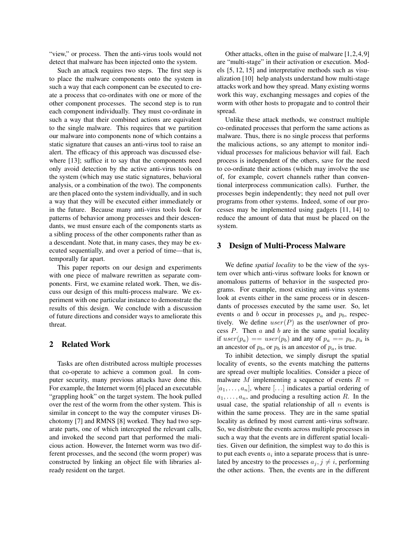"view," or process. Then the anti-virus tools would not detect that malware has been injected onto the system.

Such an attack requires two steps. The first step is to place the malware components onto the system in such a way that each component can be executed to create a process that co-ordinates with one or more of the other component processes. The second step is to run each component individually. They must co-ordinate in such a way that their combined actions are equivalent to the single malware. This requires that we partition our malware into components none of which contains a static signature that causes an anti-virus tool to raise an alert. The efficacy of this approach was discussed elsewhere [13]; suffice it to say that the components need only avoid detection by the active anti-virus tools on the system (which may use static signatures, behavioral analysis, or a combination of the two). The components are then placed onto the system individually, and in such a way that they will be executed either immediately or in the future. Because many anti-virus tools look for patterns of behavior among processes and their descendants, we must ensure each of the components starts as a sibling process of the other components rather than as a descendant. Note that, in many cases, they may be executed sequentially, and over a period of time—that is, temporally far apart.

This paper reports on our design and experiments with one piece of malware rewritten as separate components. First, we examine related work. Then, we discuss our design of this multi-process malware. We experiment with one particular instance to demonstrate the results of this design. We conclude with a discussion of future directions and consider ways to ameliorate this threat.

### 2 Related Work

Tasks are often distributed across multiple processes that co-operate to achieve a common goal. In computer security, many previous attacks have done this. For example, the Internet worm [6] placed an executable "grappling hook" on the target system. The hook pulled over the rest of the worm from the other system. This is similar in concept to the way the computer viruses Dichotomy [7] and RMNS [8] worked. They had two separate parts, one of which intercepted the relevant calls, and invoked the second part that performed the malicious action. However, the Internet worm was two different processes, and the second (the worm proper) was constructed by linking an object file with libraries already resident on the target.

Other attacks, often in the guise of malware [1,2,4,9] are "multi-stage" in their activation or execution. Models [5, 12, 15] and interpretative methods such as visualization [10] help analysts understand how multi-stage attacks work and how they spread. Many existing worms work this way, exchanging messages and copies of the worm with other hosts to propagate and to control their spread.

Unlike these attack methods, we construct multiple co-ordinated processes that perform the same actions as malware. Thus, there is no single process that performs the malicious actions, so any attempt to monitor individual processes for malicious behavior will fail. Each process is independent of the others, save for the need to co-ordinate their actions (which may involve the use of, for example, covert channels rather than conventional interprocess communication calls). Further, the processes begin independently; they need not pull over programs from other systems. Indeed, some of our processes may be implemented using gadgets [11, 14] to reduce the amount of data that must be placed on the system.

#### 3 Design of Multi-Process Malware

We define *spatial locality* to be the view of the system over which anti-virus software looks for known or anomalous patterns of behavior in the suspected programs. For example, most existing anti-virus systems look at events either in the same process or in descendants of processes executed by the same user. So, let events  $a$  and  $b$  occur in processes  $p_a$  and  $p_b$ , respectively. We define  $user(P)$  as the user/owner of process  $P$ . Then  $a$  and  $b$  are in the same spatial locality if  $user(p_a) == user(p_b)$  and any of  $p_a == p_b$ ,  $p_a$  is an ancestor of  $p_b$ , or  $p_b$  is an ancestor of  $p_a$ , is true.

To inhibit detection, we simply disrupt the spatial locality of events, so the events matching the patterns are spread over multiple localities. Consider a piece of malware M implementing a sequence of events  $R =$  $[a_1, \ldots, a_n]$ , where  $[\ldots]$  indicates a partial ordering of  $a_1, \ldots, a_n$ , and producing a resulting action R. In the usual case, the spatial relationship of all  $n$  events is within the same process. They are in the same spatial locality as defined by most current anti-virus software. So, we distribute the events across multiple processes in such a way that the events are in different spatial localities. Given our definition, the simplest way to do this is to put each events  $a_i$  into a separate process that is unrelated by ancestry to the processes  $a_j, j \neq i$ , performing the other actions. Then, the events are in the different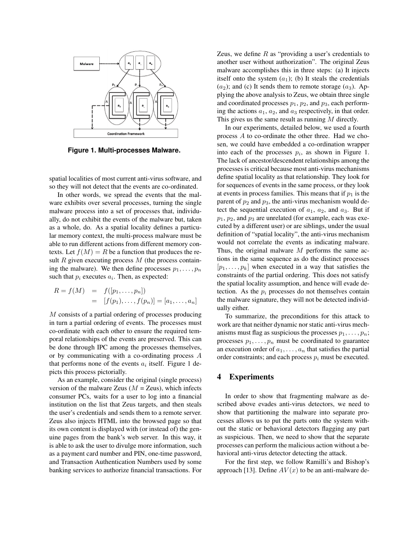

**Figure 1. Multi-processes Malware.**

spatial localities of most current anti-virus software, and so they will not detect that the events are co-ordinated.

In other words, we spread the events that the malware exhibits over several processes, turning the single malware process into a set of processes that, individually, do not exhibit the events of the malware but, taken as a whole, do. As a spatial locality defines a particular memory context, the multi-process malware must be able to run different actions from different memory contexts. Let  $f(M) = R$  be a function that produces the result  $R$  given executing process  $M$  (the process containing the malware). We then define processes  $p_1, \ldots, p_n$ such that  $p_i$  executes  $a_i$ . Then, as expected:

$$
R = f(M) = f([p_1, ..., p_n])
$$
  
=  $[f(p_1), ..., f(p_n)] = [a_1, ..., a_n]$ 

M consists of a partial ordering of processes producing in turn a partial ordering of events. The processes must co-ordinate with each other to ensure the required temporal relationships of the events are preserved. This can be done through IPC among the processes themselves, or by communicating with a co-ordinating process A that performs none of the events  $a_i$  itself. Figure 1 depicts this process pictorially.

As an example, consider the original (single process) version of the malware Zeus ( $M =$ Zeus), which infects consumer PCs, waits for a user to log into a financial institution on the list that Zeus targets, and then steals the user's credentials and sends them to a remote server. Zeus also injects HTML into the browsed page so that its own content is displayed with (or instead of) the genuine pages from the bank's web server. In this way, it is able to ask the user to divulge more information, such as a payment card number and PIN, one-time password, and Transaction Authentication Numbers used by some banking services to authorize financial transactions. For

Zeus, we define  $R$  as "providing a user's credentials to another user without authorization". The original Zeus malware accomplishes this in three steps: (a) It injects itself onto the system  $(a_1)$ ; (b) It steals the credentials  $(a_2)$ ; and (c) It sends them to remote storage  $(a_3)$ . Applying the above analysis to Zeus, we obtain three single and coordinated processes  $p_1$ ,  $p_2$ , and  $p_3$ , each performing the actions  $a_1$ ,  $a_2$ , and  $a_3$  respectively, in that order. This gives us the same result as running  $M$  directly.

In our experiments, detailed below, we used a fourth process A to co-ordinate the other three. Had we chosen, we could have embedded a co-ordination wrapper into each of the processes  $p_i$ , as shown in Figure 1. The lack of ancestor/descendent relationships among the processes is critical because most anti-virus mechanisms define spatial locality as that relationship. They look for for sequences of events in the same process, or they look at events in process families. This means that if  $p_1$  is the parent of  $p_2$  and  $p_3$ , the anti-virus mechanism would detect the sequential execution of  $a_1$ ,  $a_2$ , and  $a_3$ . But if  $p_1$ ,  $p_2$ , and  $p_3$  are unrelated (for example, each was executed by a different user) or are siblings, under the usual definition of "spatial locality", the anti-virus mechanism would not correlate the events as indicating malware. Thus, the original malware  $M$  performs the same actions in the same sequence as do the distinct processes  $[p_1, \ldots, p_k]$  when executed in a way that satisfies the constraints of the partial ordering. This does not satisfy the spatial locality assumption, and hence will evade detection. As the  $p_i$  processes do not themselves contain the malware signature, they will not be detected individually either.

To summarize, the preconditions for this attack to work are that neither dynamic nor static anti-virus mechanisms must flag as suspicious the processes  $p_1, \ldots, p_n$ ; processes  $p_1, \ldots, p_n$  must be coordinated to guarantee an execution order of  $a_1, \ldots, a_n$  that satisfies the partial order constraints; and each process  $p_i$  must be executed.

### 4 Experiments

In order to show that fragmenting malware as described above evades anti-virus detectors, we need to show that partitioning the malware into separate processes allows us to put the parts onto the system without the static or behavioral detectors flagging any part as suspicious. Then, we need to show that the separate processes can perform the malicious action without a behavioral anti-virus detector detecting the attack.

For the first step, we follow Ramilli's and Bishop's approach [13]. Define  $AV(x)$  to be an anti-malware de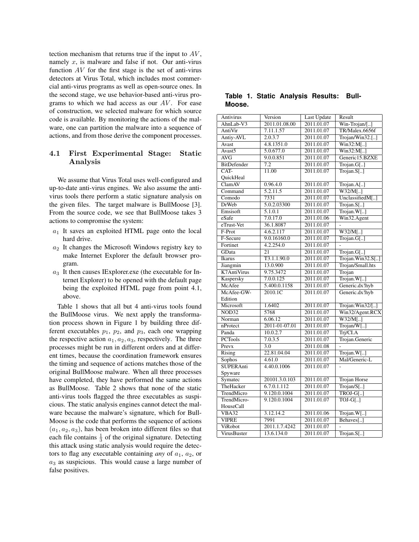tection mechanism that returns true if the input to  $AV$ , namely  $x$ , is malware and false if not. Our anti-virus function  $AV$  for the first stage is the set of anti-virus detectors at Virus Total, which includes most commercial anti-virus programs as well as open-source ones. In the second stage, we use behavior-based anti-virus programs to which we had access as our  $AV$ . For ease of construction, we selected malware for which source code is available. By monitoring the actions of the malware, one can partition the malware into a sequence of actions, and from those derive the component processes.

### 4.1 First Experimental Stage: Static Analysis

We assume that Virus Total uses well-configured and up-to-date anti-virus engines. We also assume the antivirus tools there perform a static signature analysis on the given files. The target malware is BullMoose [3]. From the source code, we see that BullMoose takes 3 actions to compromise the system:

- $a_1$  It saves an exploited HTML page onto the local hard drive.
- $a_2$  It changes the Microsoft Windows registry key to make Internet Explorer the default browser program.
- $a_3$  It then causes IExplorer.exe (the executable for Internet Explorer) to be opened with the default page being the exploited HTML page from point 4.1, above.

Table 1 shows that all but 4 anti-virus tools found the BullMoose virus. We next apply the transformation process shown in Figure 1 by building three different executables  $p_1$ ,  $p_2$ , and  $p_3$ , each one wrapping the respective action  $a_1, a_2, a_3$ , respectively. The three processes might be run in different orders and at different times, because the coordination framework ensures the timing and sequence of actions matches those of the original BullMoose malware. When all three processes have completed, they have performed the same actions as BullMoose. Table 2 shows that none of the static anti-virus tools flagged the three executables as suspicious. The static analysis engines cannot detect the malware because the malware's signature, which for Bull-Moose is the code that performs the sequence of actions  $(a_1, a_2, a_3)$ , has been broken into different files so that each file contains  $\frac{1}{3}$  of the original signature. Detecting this attack using static analysis would require the detectors to flag any executable containing *any* of  $a_1$ ,  $a_2$ , or  $a_3$  as suspicious. This would cause a large number of false positives.

#### **Table 1. Static Analysis Results: Bull-Moose.**

| Antivirus                 | Version       | <b>Last Update</b> | Result                              |
|---------------------------|---------------|--------------------|-------------------------------------|
| AhnLab- $V3$              | 2011.01.08.00 | 2011.01.07         | $W$ in-Trojan/[]                    |
| AntiVir                   | 7.11.1.57     | 2011.01.07         | TR/Malex.6656f                      |
| Antiy-AVL                 | 2.0.3.7       | 2011.01.07         | Trojan/Win32.[]                     |
| Avast                     | 4.8.1351.0    | 2011.01.07         | $\overline{\text{Win32:M}[\ldots]}$ |
| Avast <sub>5</sub>        | 5.0.677.0     | 2011.01.07         | $\overline{\text{Win32:M}[\ldots]}$ |
| $\overline{\text{AVG}}$   | 9.0.0.851     | 2011.01.07         | Generic15.BZXE                      |
| BitDefender               | 7.2           | 2011.01.07         | Trojan.G[]                          |
| $CAT-$                    | 11.00         | 2011.01.07         | Trojan.S[]                          |
| QuickHeal                 |               |                    |                                     |
| ClamAV                    | 0.96.4.0      | 2011.01.07         | Trojan.A[]                          |
| Command                   | 5.2.11.5      | 2011.01.07         | W32/M[]                             |
| Comodo                    | 7331          | 2011.01.07         | UnclassifiedM[]                     |
| <b>DrWeb</b>              | 5.0.2.03300   | 2011.01.07         | Trojan.S[]                          |
| Emsisoft                  | 5.1.0.1       | 2011.01.07         | Trojan.W[]                          |
| $\overline{\text{eSafe}}$ | 7.0.17.0      | 2011.01.06         | Win32.Agent                         |
| eTrust-Vet                | 36.1.8087     | 2011.01.07         |                                     |
| F-Prot                    | 4.6.2.117     | 2011.01.07         | $W32/M$ []                          |
| F-Secure                  | 9.0.16160.0   | 2011.01.07         | Trojan.G[]                          |
| Fortinet                  | 4.2.254.0     | 2011.01.07         |                                     |
| GData                     | 21            | 2011.01.07         | Trojan.G[]                          |
| Ikarus                    | T3.1.1.90.0   | 2011.01.07         | Trojan.Win32.S[]                    |
| Jiangmin                  | 13.0.900      | 2011.01.07         | Trojan/Small.hts                    |
| K7AntiVirus               | 9.75.3472     | 2011.01.07         | Trojan                              |
| Kaspersky                 | 7.0.0.125     | 2011.01.07         | Trojan.W[]                          |
| McAfee                    | 5.400.0.1158  | 2011.01.07         | Generic.dx!hyb                      |
| McAfee-GW-                | 2010.1C       | 2011.01.07         | Generic.dx!hyb                      |
| Edition                   |               |                    |                                     |
| Microsoft                 | 1.6402        | 2011.01.07         | Trojan: Win32/[]                    |
| NOD32                     | 5768          | 2011.01.07         | Win32/Agent.RCX                     |
| Norman                    | 6.06.12       | 2011.01.07         | W32/M[]                             |
| nProtect                  | 2011-01-07.01 | 2011.01.07         | Trojan/W[]                          |
| Panda                     | 10.0.2.7      | 2011.01.07         | Trj/CI.A                            |
| PCTools                   | 7.0.3.5       | 2011.01.07         | Trojan.Generic                      |
| Prevx                     | 3.0           | 2011.01.08         |                                     |
| Rising                    | 22.81.04.04   | 2011.01.07         | Trojan.W[]                          |
| Sophos                    | 4.61.0        | 2011.01.07         | Mal/Generic-L                       |
| <b>SUPERAnti</b>          | 4.40.0.1006   | 2011.01.07         |                                     |
| Spyware                   |               |                    |                                     |
| Symatec                   | 20101.3.0.103 | 2011.01.07         | <b>Trojan Horse</b>                 |
| TheHacker                 | 6.7.0.1.112   | 2011.01.07         | Trojan/S[]                          |
| TrendMicro                | 9.120.0.1004  | 2011.01.07         | $TROJ-G[]$                          |
| TrendMicro-               | 9.120.0.1004  | 2011.01.07         | $\overline{\text{TOJ-G}[\ldots]}$   |
| HouseCall                 |               |                    |                                     |
| VBA32                     | 3.12.14.2     | 2011.01.06         | Trojan.W[]                          |
| <b>VIPRE</b>              | 7991          | 2011.01.07         | Behaves[]                           |
| ViRobot                   | 2011.1.7.4242 | 2011.01.07         |                                     |
| VirusBuster               | 13.6.134.0    | 2011.01.07         | Trojan.S[]                          |
|                           |               |                    |                                     |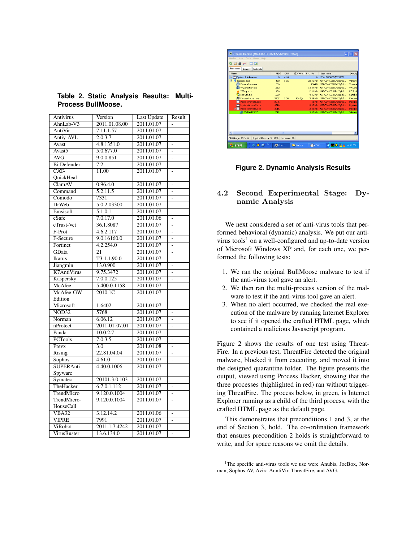| ⊗ # <del>バ</del> □ 国             |          |              |           |          |                     |                  |
|----------------------------------|----------|--------------|-----------|----------|---------------------|------------------|
| Processes<br>Services Network    |          |              |           |          |                     |                  |
| Name                             | PID      | CPU          | I/O Total | Pvt. Me  | <b>Hser Name</b>    | Descrip          |
| System Idle Process              | $\Omega$ | 4.69         |           | n.       | NT AUTHORITY\SYSTEM |                  |
| $\boxminus$<br>explorer.exe<br>× | 468      | 1.56         |           | 22.46 MB | MARCO-4EBCD2422\Ad  | Window           |
| WhwareTray.exe                   | 1336     |              |           | 936 kB   | MARCO-4EBCD2422\Ad  | <b>VMware</b>    |
| <b>CO VMwareUser.exe</b>         | 1352     |              |           | 13.04 MB | MARCO-4EBCD2422\Ad  | <b>VMware</b>    |
| TFTray.exe                       | 1456     |              |           | 2.41 MB  | MARCO-4EBCD2422\Ad  | PC Toold         |
| <b>B</b> SbieCtrl.exe            | 1200     |              |           | 4.85 MB  | MARCO-4EBCD2422\Ad  | Sandbox          |
| ProcessHacker.exe                | 3952     | 1.56         | 404 B/s   | 5.09 MB  | MARCO-4EBCD2422\Ad  | Process          |
| PipelineWorkerB.exe              | 3976     |              |           | 11 MB    | MARCO-4EBCD2422\Ad  | Pipeline         |
| PipelineWorkerC.exe              | 3216     |              |           | 10.43 MB | MARCO-4EBCD2422\Ad  | Pipeline         |
| E FilelineWorkerA.exe            | 3916     |              |           | 2.06 MB  | MARCO-4EBCD2422\Ad  | <b>Pipeline!</b> |
| <b>ED IEXPLORE.EXE</b>           | 2012     |              |           | 3.85 MB  | MARCO-4EBCD2422\Ad  | Internet         |
| $\left\langle \right\rangle$     |          | <b>TITLE</b> |           |          |                     |                  |

## 4.2 Second Experimental Stage: Dynamic Analysis

**Figure 2. Dynamic Analysis Results**

We next considered a set of anti-virus tools that performed behavioral (dynamic) analysis. We put our antivirus tools<sup>1</sup> on a well-configured and up-to-date version of Microsoft Windows XP and, for each one, we performed the following tests:

- 1. We ran the original BullMoose malware to test if the anti-virus tool gave an alert.
- 2. We then ran the multi-process version of the malware to test if the anti-virus tool gave an alert.
- 3. When no alert occurred, we checked the real execution of the malware by running Internet Explorer to see if it opened the crafted HTML page, which contained a malicious Javascript program.

Figure 2 shows the results of one test using Threat-Fire. In a previous test, ThreatFire detected the original malware, blocked it from executing, and moved it into the designed quarantine folder. The figure presents the output, viewed using Process Hacker, showing that the three processes (highlighted in red) ran without triggering ThreatFire. The process below, in green, is Internet Explorer running as a child of the third process, with the crafted HTML page as the default page.

This demonstrates that preconditions 1 and 3, at the end of Section 3, hold. The co-ordination framework that ensures precondition 2 holds is straightforward to write, and for space reasons we omit the details.

# **Table 2. Static Analysis Results: Multi-Process BullMoose.**

Antivirus Version Last Undate Result

|                  |                  | awi opuu   |                              |
|------------------|------------------|------------|------------------------------|
| AhnLab-V3        | 2011.01.08.00    | 2011.01.07 |                              |
| AntiVir          | 7.11.1.57        | 2011.01.07 |                              |
| Antiy-AVL        | 2.0.3.7          | 2011.01.07 | $\overline{a}$               |
| Avast            | 4.8.1351.0       | 2011.01.07 |                              |
| Avast5           | 5.0.677.0        | 2011.01.07 | $\overline{a}$               |
| <b>AVG</b>       | 9.0.0.851        | 2011.01.07 |                              |
| BitDefender      | $\overline{7.2}$ | 2011.01.07 | $\overline{a}$               |
| $CAT-$           | 11.00            | 2011.01.07 | L,                           |
| QuickHeal        |                  |            |                              |
| ClamAV           | 0.96.4.0         | 2011.01.07 |                              |
| Command          | 5.2.11.5         | 2011.01.07 |                              |
| Comodo           | 7331             | 2011.01.07 |                              |
| <b>DrWeb</b>     | 5.0.2.03300      | 2011.01.07 | L                            |
| Emsisoft         | 5.1.0.1          | 2011.01.07 |                              |
| eSafe            | 7.0.17.0         | 2011.01.06 | $\overline{a}$               |
| eTrust-Vet       | 36.1.8087        | 2011.01.07 |                              |
| F-Prot           | 4.6.2.117        | 2011.01.07 |                              |
| F-Secure         | 9.0.16160.0      | 2011.01.07 |                              |
| Fortinet         | 4.2.254.0        | 2011.01.07 |                              |
| GData            | $\overline{21}$  | 2011.01.07 |                              |
| Ikarus           | T3.1.1.90.0      | 2011.01.07 |                              |
| Jiangmin         | 13.0.900         | 2011.01.07 | $\overline{\phantom{0}}$     |
| K7AntiVirus      | 9.75.3472        | 2011.01.07 |                              |
| Kaspersky        | 7.0.0.125        | 2011.01.07 | L                            |
| McAfee           | 5.400.0.1158     | 2011.01.07 |                              |
| McAfee-GW-       | 2010.1C          | 2011.01.07 |                              |
| Edition          |                  |            |                              |
| Microsoft        | 1.6402           | 2011.01.07 | $\overline{a}$               |
| NOD32            | 5768             | 2011.01.07 |                              |
| Norman           | 6.06.12          | 2011.01.07 | $\overline{a}$               |
| nProtect         | 2011-01-07.01    | 2011.01.07 | $\overline{a}$               |
| Panda            | 10.0.2.7         | 2011.01.07 |                              |
| PCTools          | 7.0.3.5          | 2011.01.07 | $\qquad \qquad \blacksquare$ |
| Prevx            | 3.0              | 2011.01.08 |                              |
| Rising           | 22.81.04.04      | 2011.01.07 | L                            |
| Sophos           | 4.61.0           | 2011.01.07 |                              |
| <b>SUPERAnti</b> | 4.40.0.1006      | 2011.01.07 |                              |
| Spyware          |                  |            |                              |
| Symatec          | 20101.3.0.103    | 2011.01.07 | L,                           |
| TheHacker        | 6.7.0.1.112      | 2011.01.07 |                              |
| TrendMicro       | 9.120.0.1004     | 2011.01.07 |                              |
| TrendMicro-      | 9.120.0.1004     | 2011.01.07 |                              |
| HouseCall        |                  |            |                              |
| VBA32            | 3.12.14.2        | 2011.01.06 | $\overline{a}$               |
| <b>VIPRE</b>     | 7991             | 2011.01.07 |                              |
| ViRobot          | 2011.1.7.4242    | 2011.01.07 | $\overline{a}$               |
| VirusBuster      | 13.6.134.0       | 2011.01.07 | $\overline{a}$               |
|                  |                  |            |                              |

<sup>&</sup>lt;sup>1</sup>The specific anti-virus tools we use were Anubis, JoeBox, Norman, Sophos AV, Avira AnntiVir, ThreatFire, and AVG.